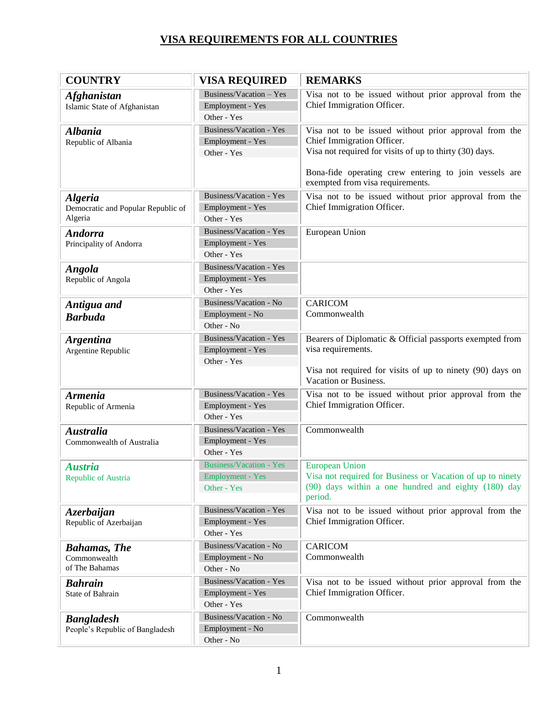| <b>COUNTRY</b>                                                  | <b>VISA REQUIRED</b>                                                     | <b>REMARKS</b>                                                                                                                                                                                          |
|-----------------------------------------------------------------|--------------------------------------------------------------------------|---------------------------------------------------------------------------------------------------------------------------------------------------------------------------------------------------------|
| <b>Afghanistan</b><br>Islamic State of Afghanistan              | Business/Vacation - Yes<br>Employment - Yes<br>Other - Yes               | Visa not to be issued without prior approval from the<br>Chief Immigration Officer.                                                                                                                     |
| <b>Albania</b><br>Republic of Albania                           | Business/Vacation - Yes<br>Employment - Yes<br>Other - Yes               | Visa not to be issued without prior approval from the<br>Chief Immigration Officer.<br>Visa not required for visits of up to thirty (30) days.<br>Bona-fide operating crew entering to join vessels are |
|                                                                 |                                                                          | exempted from visa requirements.                                                                                                                                                                        |
| <b>Algeria</b><br>Democratic and Popular Republic of<br>Algeria | Business/Vacation - Yes<br>Employment - Yes<br>Other - Yes               | Visa not to be issued without prior approval from the<br>Chief Immigration Officer.                                                                                                                     |
| <b>Andorra</b><br>Principality of Andorra                       | Business/Vacation - Yes<br>Employment - Yes<br>Other - Yes               | European Union                                                                                                                                                                                          |
| <b>Angola</b><br>Republic of Angola                             | Business/Vacation - Yes<br>Employment - Yes<br>Other - Yes               |                                                                                                                                                                                                         |
| Antigua and<br><b>Barbuda</b>                                   | Business/Vacation - No<br>Employment - No<br>Other - No                  | <b>CARICOM</b><br>Commonwealth                                                                                                                                                                          |
| <b>Argentina</b><br>Argentine Republic                          | Business/Vacation - Yes<br>Employment - Yes<br>Other - Yes               | Bearers of Diplomatic & Official passports exempted from<br>visa requirements.<br>Visa not required for visits of up to ninety (90) days on<br>Vacation or Business.                                    |
| <b>Armenia</b><br>Republic of Armenia                           | Business/Vacation - Yes<br>Employment - Yes<br>Other - Yes               | Visa not to be issued without prior approval from the<br>Chief Immigration Officer.                                                                                                                     |
| <b>Australia</b><br>Commonwealth of Australia                   | Business/Vacation - Yes<br>Employment - Yes<br>Other - Yes               | Commonwealth                                                                                                                                                                                            |
| <b>Austria</b><br>Republic of Austria                           | <b>Business/Vacation - Yes</b><br><b>Employment - Yes</b><br>Other - Yes | <b>European Union</b><br>Visa not required for Business or Vacation of up to ninety<br>(90) days within a one hundred and eighty (180) day<br>period.                                                   |
| Azerbaijan<br>Republic of Azerbaijan                            | Business/Vacation - Yes<br>Employment - Yes<br>Other - Yes               | Visa not to be issued without prior approval from the<br>Chief Immigration Officer.                                                                                                                     |
| <b>Bahamas</b> , The<br>Commonwealth<br>of The Bahamas          | Business/Vacation - No<br>Employment - No<br>Other - No                  | CARICOM<br>Commonwealth                                                                                                                                                                                 |
| <b>Bahrain</b><br>State of Bahrain                              | Business/Vacation - Yes<br>Employment - Yes<br>Other - Yes               | Visa not to be issued without prior approval from the<br>Chief Immigration Officer.                                                                                                                     |
| <b>Bangladesh</b><br>People's Republic of Bangladesh            | Business/Vacation - No<br>Employment - No<br>Other - No                  | Commonwealth                                                                                                                                                                                            |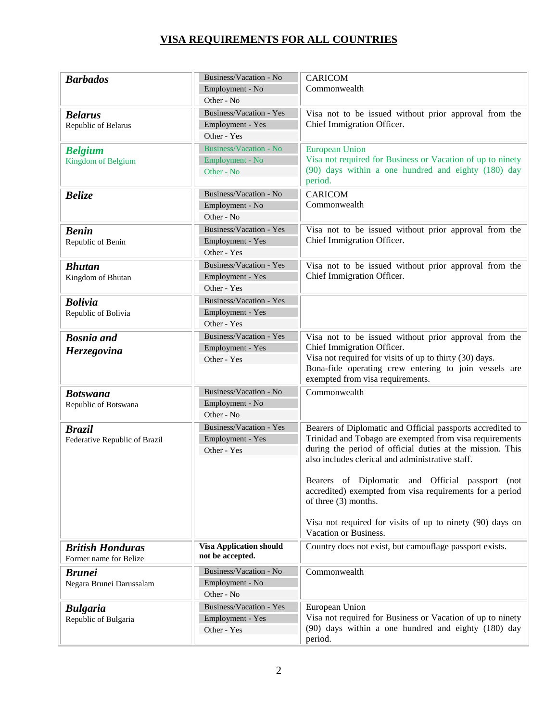| <b>Barbados</b>                                   | Business/Vacation - No<br>Employment - No                         | <b>CARICOM</b><br>Commonwealth                                                                                                                                                                                                                                                                                                                                                                                                                                       |
|---------------------------------------------------|-------------------------------------------------------------------|----------------------------------------------------------------------------------------------------------------------------------------------------------------------------------------------------------------------------------------------------------------------------------------------------------------------------------------------------------------------------------------------------------------------------------------------------------------------|
| <b>Belarus</b>                                    | Other - No<br>Business/Vacation - Yes                             | Visa not to be issued without prior approval from the                                                                                                                                                                                                                                                                                                                                                                                                                |
| Republic of Belarus                               | Employment - Yes<br>Other - Yes                                   | Chief Immigration Officer.                                                                                                                                                                                                                                                                                                                                                                                                                                           |
| <b>Belgium</b><br>Kingdom of Belgium              | <b>Business/Vacation - No</b><br>Employment - No<br>Other - No    | <b>European Union</b><br>Visa not required for Business or Vacation of up to ninety<br>(90) days within a one hundred and eighty (180) day<br>period.                                                                                                                                                                                                                                                                                                                |
| <b>Belize</b>                                     | Business/Vacation - No<br>Employment - No<br>Other - No           | <b>CARICOM</b><br>Commonwealth                                                                                                                                                                                                                                                                                                                                                                                                                                       |
| <b>Benin</b><br>Republic of Benin                 | Business/Vacation - Yes<br>Employment - Yes<br>Other - Yes        | Visa not to be issued without prior approval from the<br>Chief Immigration Officer.                                                                                                                                                                                                                                                                                                                                                                                  |
| <b>Bhutan</b><br>Kingdom of Bhutan                | Business/Vacation - Yes<br>Employment - Yes<br>Other - Yes        | Visa not to be issued without prior approval from the<br>Chief Immigration Officer.                                                                                                                                                                                                                                                                                                                                                                                  |
| <b>Bolivia</b><br>Republic of Bolivia             | Business/Vacation - Yes<br>Employment - Yes<br>Other - Yes        |                                                                                                                                                                                                                                                                                                                                                                                                                                                                      |
| <b>Bosnia</b> and<br>Herzegovina                  | Business/Vacation - Yes<br>Employment - Yes<br>Other - Yes        | Visa not to be issued without prior approval from the<br>Chief Immigration Officer.<br>Visa not required for visits of up to thirty (30) days.<br>Bona-fide operating crew entering to join vessels are<br>exempted from visa requirements.                                                                                                                                                                                                                          |
| <b>Botswana</b><br>Republic of Botswana           | Business/Vacation - No<br>Employment - No<br>Other - No           | Commonwealth                                                                                                                                                                                                                                                                                                                                                                                                                                                         |
| <b>Brazil</b><br>Federative Republic of Brazil    | <b>Business/Vacation - Yes</b><br>Employment - Yes<br>Other - Yes | Bearers of Diplomatic and Official passports accredited to<br>Trinidad and Tobago are exempted from visa requirements<br>during the period of official duties at the mission. This<br>also includes clerical and administrative staff.<br>Bearers of Diplomatic and Official passport (not<br>accredited) exempted from visa requirements for a period<br>of three (3) months.<br>Visa not required for visits of up to ninety (90) days on<br>Vacation or Business. |
| <b>British Honduras</b><br>Former name for Belize | <b>Visa Application should</b><br>not be accepted.                | Country does not exist, but camouflage passport exists.                                                                                                                                                                                                                                                                                                                                                                                                              |
| <b>Brunei</b><br>Negara Brunei Darussalam         | Business/Vacation - No<br>Employment - No<br>Other - No           | Commonwealth                                                                                                                                                                                                                                                                                                                                                                                                                                                         |
| <b>Bulgaria</b><br>Republic of Bulgaria           | Business/Vacation - Yes<br>Employment - Yes<br>Other - Yes        | European Union<br>Visa not required for Business or Vacation of up to ninety<br>(90) days within a one hundred and eighty (180) day<br>period.                                                                                                                                                                                                                                                                                                                       |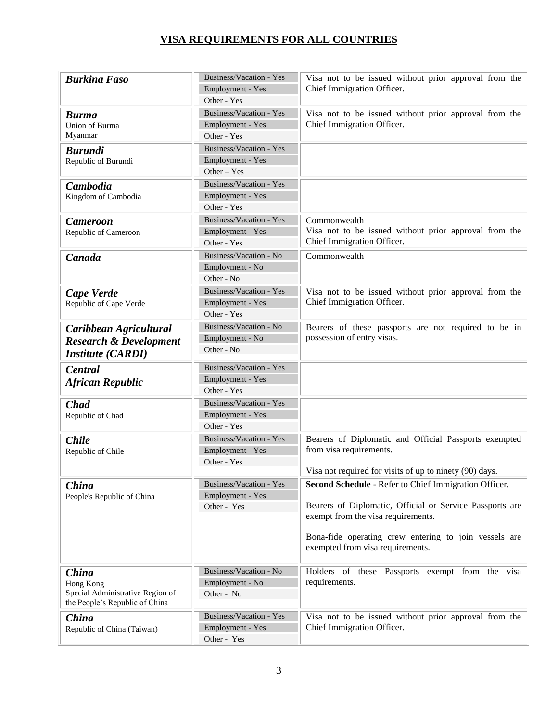| <b>Burkina Faso</b>                                                                      | Business/Vacation - Yes<br>Employment - Yes<br>Other - Yes        | Visa not to be issued without prior approval from the<br>Chief Immigration Officer.                                                                                                                                                                  |
|------------------------------------------------------------------------------------------|-------------------------------------------------------------------|------------------------------------------------------------------------------------------------------------------------------------------------------------------------------------------------------------------------------------------------------|
| <b>Burma</b><br><b>Union of Burma</b><br>Myanmar                                         | <b>Business/Vacation - Yes</b><br>Employment - Yes<br>Other - Yes | Visa not to be issued without prior approval from the<br>Chief Immigration Officer.                                                                                                                                                                  |
| <b>Burundi</b><br>Republic of Burundi                                                    | Business/Vacation - Yes<br>Employment - Yes<br>$Other - Yes$      |                                                                                                                                                                                                                                                      |
| Cambodia<br>Kingdom of Cambodia                                                          | Business/Vacation - Yes<br>Employment - Yes<br>Other - Yes        |                                                                                                                                                                                                                                                      |
| <b>Cameroon</b><br>Republic of Cameroon                                                  | <b>Business/Vacation - Yes</b><br>Employment - Yes<br>Other - Yes | Commonwealth<br>Visa not to be issued without prior approval from the<br>Chief Immigration Officer.                                                                                                                                                  |
| Canada                                                                                   | Business/Vacation - No<br>Employment - No<br>Other - No           | Commonwealth                                                                                                                                                                                                                                         |
| Cape Verde<br>Republic of Cape Verde                                                     | Business/Vacation - Yes<br>Employment - Yes<br>Other - Yes        | Visa not to be issued without prior approval from the<br>Chief Immigration Officer.                                                                                                                                                                  |
| Caribbean Agricultural<br><b>Research &amp; Development</b><br><b>Institute (CARDI)</b>  | Business/Vacation - No<br>Employment - No<br>Other - No           | Bearers of these passports are not required to be in<br>possession of entry visas.                                                                                                                                                                   |
| <b>Central</b><br><b>African Republic</b>                                                | Business/Vacation - Yes<br>Employment - Yes<br>Other - Yes        |                                                                                                                                                                                                                                                      |
| <b>Chad</b><br>Republic of Chad                                                          | Business/Vacation - Yes<br>Employment - Yes<br>Other - Yes        |                                                                                                                                                                                                                                                      |
| <b>Chile</b><br>Republic of Chile                                                        | Business/Vacation - Yes<br>Employment - Yes<br>Other - Yes        | Bearers of Diplomatic and Official Passports exempted<br>from visa requirements.<br>Visa not required for visits of up to ninety (90) days.                                                                                                          |
| China<br>People's Republic of China                                                      | Business/Vacation - Yes<br>Employment - Yes<br>Other - Yes        | Second Schedule - Refer to Chief Immigration Officer.<br>Bearers of Diplomatic, Official or Service Passports are<br>exempt from the visa requirements.<br>Bona-fide operating crew entering to join vessels are<br>exempted from visa requirements. |
| China<br>Hong Kong<br>Special Administrative Region of<br>the People's Republic of China | Business/Vacation - No<br>Employment - No<br>Other - No           | Holders of these Passports exempt from the visa<br>requirements.                                                                                                                                                                                     |
| China<br>Republic of China (Taiwan)                                                      | Business/Vacation - Yes<br>Employment - Yes<br>Other - Yes        | Visa not to be issued without prior approval from the<br>Chief Immigration Officer.                                                                                                                                                                  |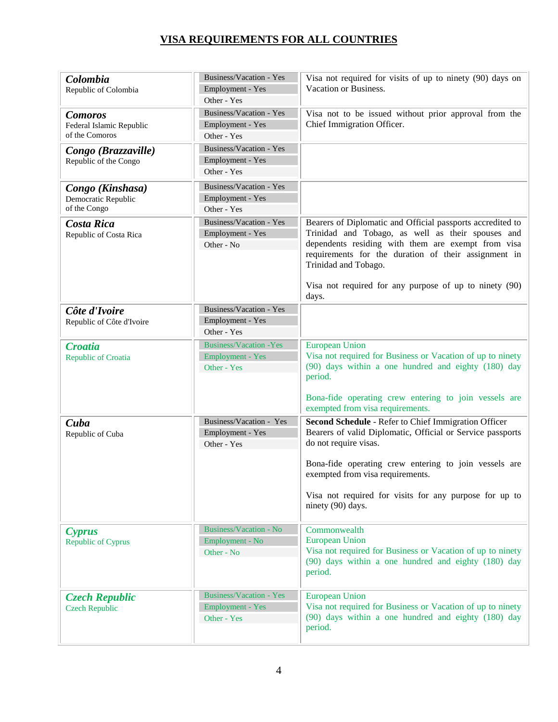| Colombia<br>Republic of Colombia                             | Business/Vacation - Yes<br>Employment - Yes<br>Other - Yes               | Visa not required for visits of up to ninety (90) days on<br>Vacation or Business.                                                                                                                                                                                                                                                                          |
|--------------------------------------------------------------|--------------------------------------------------------------------------|-------------------------------------------------------------------------------------------------------------------------------------------------------------------------------------------------------------------------------------------------------------------------------------------------------------------------------------------------------------|
| <b>Comoros</b><br>Federal Islamic Republic<br>of the Comoros | <b>Business/Vacation - Yes</b><br>Employment - Yes<br>Other - Yes        | Visa not to be issued without prior approval from the<br>Chief Immigration Officer.                                                                                                                                                                                                                                                                         |
| Congo (Brazzaville)<br>Republic of the Congo                 | Business/Vacation - Yes<br>Employment - Yes<br>Other - Yes               |                                                                                                                                                                                                                                                                                                                                                             |
| Congo (Kinshasa)<br>Democratic Republic<br>of the Congo      | Business/Vacation - Yes<br>Employment - Yes<br>Other - Yes               |                                                                                                                                                                                                                                                                                                                                                             |
| <b>Costa Rica</b><br>Republic of Costa Rica                  | <b>Business/Vacation - Yes</b><br>Employment - Yes<br>Other - No         | Bearers of Diplomatic and Official passports accredited to<br>Trinidad and Tobago, as well as their spouses and<br>dependents residing with them are exempt from visa<br>requirements for the duration of their assignment in<br>Trinidad and Tobago.<br>Visa not required for any purpose of up to ninety (90)<br>days.                                    |
| Côte d'Ivoire<br>Republic of Côte d'Ivoire                   | Business/Vacation - Yes<br>Employment - Yes<br>Other - Yes               |                                                                                                                                                                                                                                                                                                                                                             |
| <b>Croatia</b><br><b>Republic of Croatia</b>                 | <b>Business/Vacation - Yes</b><br><b>Employment - Yes</b><br>Other - Yes | <b>European Union</b><br>Visa not required for Business or Vacation of up to ninety<br>(90) days within a one hundred and eighty (180) day<br>period.<br>Bona-fide operating crew entering to join vessels are                                                                                                                                              |
| Cuba<br>Republic of Cuba                                     | Business/Vacation - Yes<br>Employment - Yes<br>Other - Yes               | exempted from visa requirements.<br>Second Schedule - Refer to Chief Immigration Officer<br>Bearers of valid Diplomatic, Official or Service passports<br>do not require visas.<br>Bona-fide operating crew entering to join vessels are<br>exempted from visa requirements.<br>Visa not required for visits for any purpose for up to<br>ninety (90) days. |
| <b>Cyprus</b><br><b>Republic of Cyprus</b>                   | <b>Business/Vacation - No</b><br>Employment - No<br>Other - No           | Commonwealth<br><b>European Union</b><br>Visa not required for Business or Vacation of up to ninety<br>(90) days within a one hundred and eighty (180) day<br>period.                                                                                                                                                                                       |
| <b>Czech Republic</b><br><b>Czech Republic</b>               | <b>Business/Vacation - Yes</b><br><b>Employment - Yes</b><br>Other - Yes | <b>European Union</b><br>Visa not required for Business or Vacation of up to ninety<br>(90) days within a one hundred and eighty (180) day<br>period.                                                                                                                                                                                                       |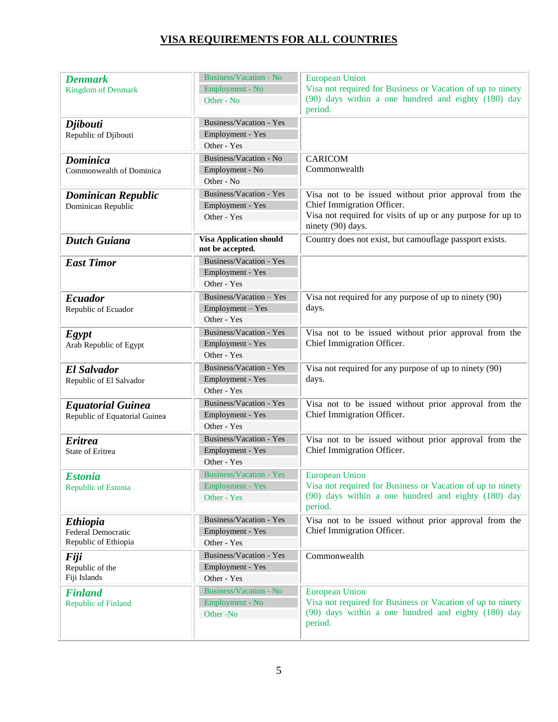| <b>Denmark</b><br><b>Kingdom of Denmark</b>                   | <b>Business/Vacation - No</b><br>Employment - No<br>Other - No           | <b>European Union</b><br>Visa not required for Business or Vacation of up to ninety<br>(90) days within a one hundred and eighty (180) day<br>period.                   |
|---------------------------------------------------------------|--------------------------------------------------------------------------|-------------------------------------------------------------------------------------------------------------------------------------------------------------------------|
| <b>Djibouti</b><br>Republic of Djibouti                       | Business/Vacation - Yes<br>Employment - Yes<br>Other - Yes               |                                                                                                                                                                         |
| <b>Dominica</b><br>Commonwealth of Dominica                   | Business/Vacation - No<br>Employment - No<br>Other - No                  | <b>CARICOM</b><br>Commonwealth                                                                                                                                          |
| <b>Dominican Republic</b><br>Dominican Republic               | Business/Vacation - Yes<br>Employment - Yes<br>Other - Yes               | Visa not to be issued without prior approval from the<br>Chief Immigration Officer.<br>Visa not required for visits of up or any purpose for up to<br>ninety (90) days. |
| <b>Dutch Guiana</b>                                           | <b>Visa Application should</b><br>not be accepted.                       | Country does not exist, but camouflage passport exists.                                                                                                                 |
| <b>East Timor</b>                                             | Business/Vacation - Yes<br>Employment - Yes<br>Other - Yes               |                                                                                                                                                                         |
| <b>Ecuador</b><br>Republic of Ecuador                         | Business/Vacation - Yes<br>Employment - Yes<br>Other - Yes               | Visa not required for any purpose of up to ninety (90)<br>days.                                                                                                         |
| <b>Egypt</b><br>Arab Republic of Egypt                        | Business/Vacation - Yes<br>Employment - Yes<br>Other - Yes               | Visa not to be issued without prior approval from the<br>Chief Immigration Officer.                                                                                     |
| <b>El Salvador</b><br>Republic of El Salvador                 | Business/Vacation - Yes<br>Employment - Yes<br>Other - Yes               | Visa not required for any purpose of up to ninety (90)<br>days.                                                                                                         |
| <b>Equatorial Guinea</b><br>Republic of Equatorial Guinea     | Business/Vacation - Yes<br>Employment - Yes<br>Other - Yes               | Visa not to be issued without prior approval from the<br>Chief Immigration Officer.                                                                                     |
| <b>Eritrea</b><br>State of Eritrea                            | Business/Vacation - Yes<br>Employment - Yes<br>Other - Yes               | Visa not to be issued without prior approval from the<br>Chief Immigration Officer.                                                                                     |
| <b>Estonia</b><br>Republic of Estonia                         | <b>Business/Vacation - Yes</b><br><b>Employment - Yes</b><br>Other - Yes | <b>European Union</b><br>Visa not required for Business or Vacation of up to ninety<br>(90) days within a one hundred and eighty (180) day<br>period.                   |
| <i>Ethiopia</i><br>Federal Democratic<br>Republic of Ethiopia | <b>Business/Vacation - Yes</b><br>Employment - Yes<br>Other - Yes        | Visa not to be issued without prior approval from the<br>Chief Immigration Officer.                                                                                     |
| <b>Fiji</b><br>Republic of the<br>Fiji Islands                | Business/Vacation - Yes<br>Employment - Yes<br>Other - Yes               | Commonwealth                                                                                                                                                            |
| <b>Finland</b><br><b>Republic of Finland</b>                  | <b>Business/Vacation - No</b><br>Employment - No<br>Other-No             | <b>European Union</b><br>Visa not required for Business or Vacation of up to ninety<br>(90) days within a one hundred and eighty (180) day<br>period.                   |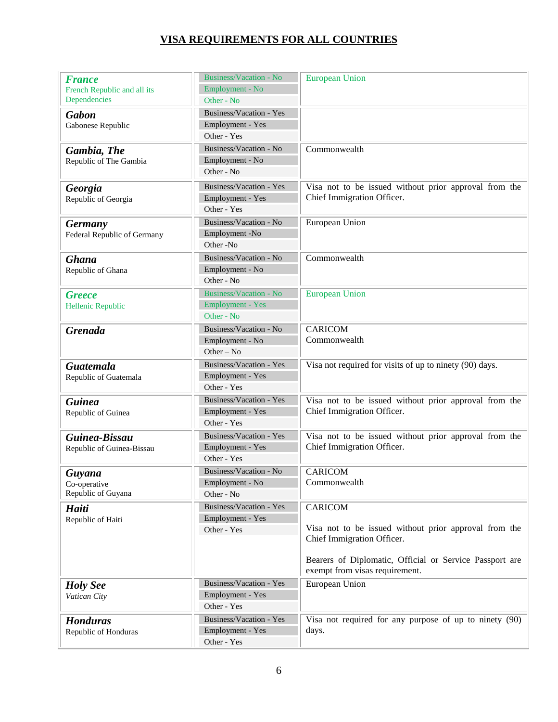| <b>France</b>                                 | Business/Vacation - No        | <b>European Union</b>                                                                     |
|-----------------------------------------------|-------------------------------|-------------------------------------------------------------------------------------------|
| French Republic and all its                   | Employment - No               |                                                                                           |
| Dependencies                                  | Other - No                    |                                                                                           |
| <b>Gabon</b>                                  | Business/Vacation - Yes       |                                                                                           |
| Gabonese Republic                             | Employment - Yes              |                                                                                           |
|                                               | Other - Yes                   |                                                                                           |
| Gambia, The                                   | Business/Vacation - No        | Commonwealth                                                                              |
| Republic of The Gambia                        | Employment - No               |                                                                                           |
|                                               | Other - No                    |                                                                                           |
| Georgia                                       | Business/Vacation - Yes       | Visa not to be issued without prior approval from the                                     |
| Republic of Georgia                           | Employment - Yes              | Chief Immigration Officer.                                                                |
|                                               | Other - Yes                   |                                                                                           |
|                                               | Business/Vacation - No        | European Union                                                                            |
| <b>Germany</b><br>Federal Republic of Germany | Employment -No                |                                                                                           |
|                                               | Other-No                      |                                                                                           |
|                                               | Business/Vacation - No        | Commonwealth                                                                              |
| <b>Ghana</b>                                  |                               |                                                                                           |
| Republic of Ghana                             | Employment - No<br>Other - No |                                                                                           |
|                                               |                               |                                                                                           |
| <b>Greece</b>                                 | Business/Vacation - No        | <b>European Union</b>                                                                     |
| Hellenic Republic                             | <b>Employment - Yes</b>       |                                                                                           |
|                                               | Other - No                    |                                                                                           |
| <b>Grenada</b>                                | Business/Vacation - No        | <b>CARICOM</b>                                                                            |
|                                               | Employment - No               | Commonwealth                                                                              |
|                                               | Other $-$ No                  |                                                                                           |
| <b>Guatemala</b>                              | Business/Vacation - Yes       | Visa not required for visits of up to ninety (90) days.                                   |
| Republic of Guatemala                         | Employment - Yes              |                                                                                           |
|                                               | Other - Yes                   |                                                                                           |
| <b>Guinea</b>                                 | Business/Vacation - Yes       | Visa not to be issued without prior approval from the                                     |
| Republic of Guinea                            | Employment - Yes              | Chief Immigration Officer.                                                                |
|                                               | Other - Yes                   |                                                                                           |
| Guinea-Bissau                                 | Business/Vacation - Yes       | Visa not to be issued without prior approval from the                                     |
| Republic of Guinea-Bissau                     | Employment - Yes              | Chief Immigration Officer.                                                                |
|                                               | Other - Yes                   |                                                                                           |
| Guvana                                        | Business/Vacation - No        | <b>CARICOM</b>                                                                            |
| Co-operative                                  | Employment - No               | Commonwealth                                                                              |
| Republic of Guyana                            | Other - No                    |                                                                                           |
| <b>Haiti</b>                                  | Business/Vacation - Yes       | CARICOM                                                                                   |
| Republic of Haiti                             | Employment - Yes              |                                                                                           |
|                                               | Other - Yes                   | Visa not to be issued without prior approval from the                                     |
|                                               |                               | Chief Immigration Officer.                                                                |
|                                               |                               |                                                                                           |
|                                               |                               | Bearers of Diplomatic, Official or Service Passport are<br>exempt from visas requirement. |
| <b>Holy See</b>                               | Business/Vacation - Yes       | European Union                                                                            |
| Vatican City                                  | Employment - Yes              |                                                                                           |
|                                               | Other - Yes                   |                                                                                           |
| <b>Honduras</b>                               | Business/Vacation - Yes       | Visa not required for any purpose of up to ninety (90)                                    |
| Republic of Honduras                          | Employment - Yes              | days.                                                                                     |
|                                               | Other - Yes                   |                                                                                           |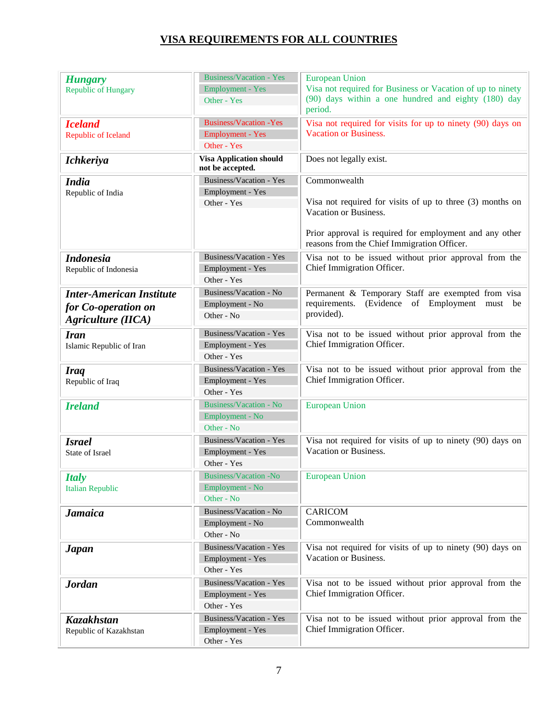| <b>Hungary</b><br><b>Republic of Hungary</b>                                        | <b>Business/Vacation - Yes</b><br><b>Employment - Yes</b><br>Other - Yes | <b>European Union</b><br>Visa not required for Business or Vacation of up to ninety<br>(90) days within a one hundred and eighty (180) day                                                                   |
|-------------------------------------------------------------------------------------|--------------------------------------------------------------------------|--------------------------------------------------------------------------------------------------------------------------------------------------------------------------------------------------------------|
| <b>Iceland</b><br>Republic of Iceland                                               | <b>Business/Vacation - Yes</b><br><b>Employment - Yes</b><br>Other - Yes | period.<br>Visa not required for visits for up to ninety (90) days on<br>Vacation or Business.                                                                                                               |
| <b>Ichkeriya</b>                                                                    | <b>Visa Application should</b><br>not be accepted.                       | Does not legally exist.                                                                                                                                                                                      |
| <b>India</b><br>Republic of India                                                   | Business/Vacation - Yes<br>Employment - Yes<br>Other - Yes               | Commonwealth<br>Visa not required for visits of up to three (3) months on<br>Vacation or Business.<br>Prior approval is required for employment and any other<br>reasons from the Chief Immigration Officer. |
| <b>Indonesia</b><br>Republic of Indonesia                                           | <b>Business/Vacation - Yes</b><br>Employment - Yes<br>Other - Yes        | Visa not to be issued without prior approval from the<br>Chief Immigration Officer.                                                                                                                          |
| <b>Inter-American Institute</b><br>for Co-operation on<br><b>Agriculture</b> (IICA) | Business/Vacation - No<br>Employment - No<br>Other - No                  | Permanent & Temporary Staff are exempted from visa<br>(Evidence of Employment must be<br>requirements.<br>provided).                                                                                         |
| <b>Iran</b><br>Islamic Republic of Iran                                             | Business/Vacation - Yes<br>Employment - Yes<br>Other - Yes               | Visa not to be issued without prior approval from the<br>Chief Immigration Officer.                                                                                                                          |
| <b>Iraq</b><br>Republic of Iraq                                                     | Business/Vacation - Yes<br>Employment - Yes<br>Other - Yes               | Visa not to be issued without prior approval from the<br>Chief Immigration Officer.                                                                                                                          |
| <b>Ireland</b>                                                                      | <b>Business/Vacation - No</b><br>Employment - No<br>Other - No           | <b>European Union</b>                                                                                                                                                                                        |
| <b>Israel</b><br>State of Israel                                                    | Business/Vacation - Yes<br>Employment - Yes<br>Other - Yes               | Visa not required for visits of up to ninety (90) days on<br>Vacation or Business.                                                                                                                           |
| <b>Italy</b><br><b>Italian Republic</b>                                             | <b>Business/Vacation -No</b><br>Employment - No<br>Other - No            | <b>European Union</b>                                                                                                                                                                                        |
| <b>Jamaica</b>                                                                      | Business/Vacation - No<br>Employment - No<br>Other - No                  | <b>CARICOM</b><br>Commonwealth                                                                                                                                                                               |
| <b>Japan</b>                                                                        | Business/Vacation - Yes<br>Employment - Yes<br>Other - Yes               | Visa not required for visits of up to ninety (90) days on<br>Vacation or Business.                                                                                                                           |
| <b>Jordan</b>                                                                       | Business/Vacation - Yes<br>Employment - Yes<br>Other - Yes               | Visa not to be issued without prior approval from the<br>Chief Immigration Officer.                                                                                                                          |
| Kazakhstan<br>Republic of Kazakhstan                                                | <b>Business/Vacation - Yes</b><br>Employment - Yes<br>Other - Yes        | Visa not to be issued without prior approval from the<br>Chief Immigration Officer.                                                                                                                          |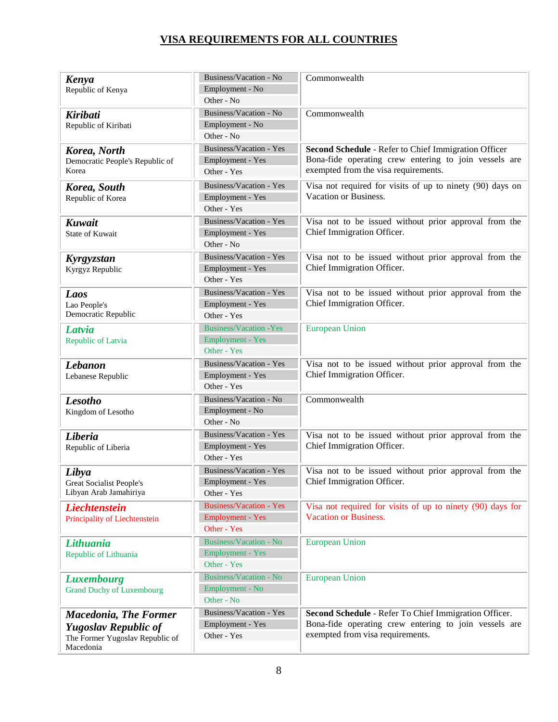| Kenya<br>Republic of Kenya                                                                                  | Business/Vacation - No<br>Employment - No<br>Other - No                  | Commonwealth                                                                                                                                          |
|-------------------------------------------------------------------------------------------------------------|--------------------------------------------------------------------------|-------------------------------------------------------------------------------------------------------------------------------------------------------|
| <b>Kiribati</b><br>Republic of Kiribati                                                                     | Business/Vacation - No<br>Employment - No<br>Other - No                  | Commonwealth                                                                                                                                          |
| Korea, North<br>Democratic People's Republic of<br>Korea                                                    | Business/Vacation - Yes<br>Employment - Yes<br>Other - Yes               | Second Schedule - Refer to Chief Immigration Officer<br>Bona-fide operating crew entering to join vessels are<br>exempted from the visa requirements. |
| Korea, South<br>Republic of Korea                                                                           | <b>Business/Vacation - Yes</b><br>Employment - Yes<br>Other - Yes        | Visa not required for visits of up to ninety (90) days on<br>Vacation or Business.                                                                    |
| Kuwait<br><b>State of Kuwait</b>                                                                            | Business/Vacation - Yes<br>Employment - Yes<br>Other - No                | Visa not to be issued without prior approval from the<br>Chief Immigration Officer.                                                                   |
| Kyrgyzstan<br>Kyrgyz Republic                                                                               | <b>Business/Vacation - Yes</b><br>Employment - Yes<br>Other - Yes        | Visa not to be issued without prior approval from the<br>Chief Immigration Officer.                                                                   |
| Laos<br>Lao People's<br>Democratic Republic                                                                 | Business/Vacation - Yes<br>Employment - Yes<br>Other - Yes               | Visa not to be issued without prior approval from the<br>Chief Immigration Officer.                                                                   |
| Latvia<br>Republic of Latvia                                                                                | <b>Business/Vacation - Yes</b><br><b>Employment - Yes</b><br>Other - Yes | <b>European Union</b>                                                                                                                                 |
| <b>Lebanon</b><br>Lebanese Republic                                                                         | Business/Vacation - Yes<br>Employment - Yes<br>Other - Yes               | Visa not to be issued without prior approval from the<br>Chief Immigration Officer.                                                                   |
| <b>Lesotho</b><br>Kingdom of Lesotho                                                                        | Business/Vacation - No<br>Employment - No<br>Other - No                  | Commonwealth                                                                                                                                          |
| Liberia<br>Republic of Liberia                                                                              | Business/Vacation - Yes<br>Employment - Yes<br>Other - Yes               | Visa not to be issued without prior approval from the<br>Chief Immigration Officer.                                                                   |
| Libya<br><b>Great Socialist People's</b><br>Libyan Arab Jamahiriya                                          | Business/Vacation - Yes<br>Employment - Yes<br>Other - Yes               | Visa not to be issued without prior approval from the<br>Chief Immigration Officer.                                                                   |
| <b>Liechtenstein</b><br>Principality of Liechtenstein                                                       | <b>Business/Vacation - Yes</b><br><b>Employment - Yes</b><br>Other - Yes | Visa not required for visits of up to ninety (90) days for<br><b>Vacation or Business.</b>                                                            |
| Lithuania<br>Republic of Lithuania                                                                          | <b>Business/Vacation - No</b><br><b>Employment - Yes</b><br>Other - Yes  | <b>European Union</b>                                                                                                                                 |
| <b>Luxembourg</b><br><b>Grand Duchy of Luxembourg</b>                                                       | <b>Business/Vacation - No</b><br>Employment - No<br>Other - No           | <b>European Union</b>                                                                                                                                 |
| <b>Macedonia, The Former</b><br><b>Yugoslav Republic of</b><br>The Former Yugoslav Republic of<br>Macedonia | Business/Vacation - Yes<br>Employment - Yes<br>Other - Yes               | Second Schedule - Refer To Chief Immigration Officer.<br>Bona-fide operating crew entering to join vessels are<br>exempted from visa requirements.    |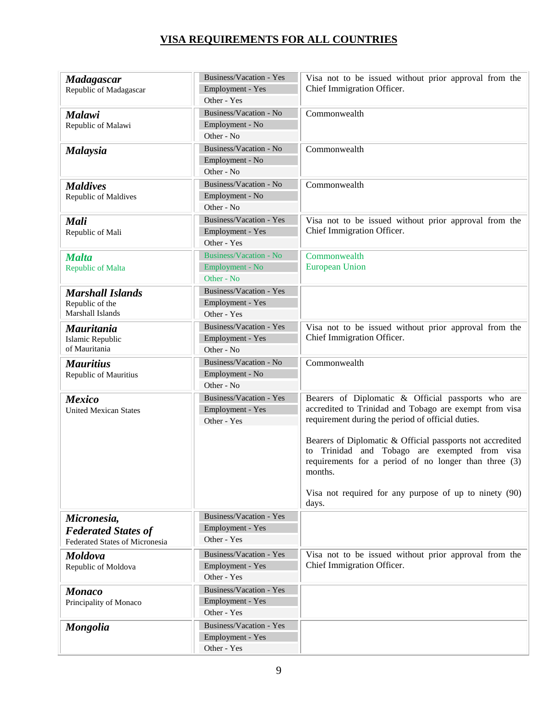| <b>Madagascar</b>              | Business/Vacation - Yes<br>Employment - Yes | Visa not to be issued without prior approval from the<br>Chief Immigration Officer.                                                                                            |
|--------------------------------|---------------------------------------------|--------------------------------------------------------------------------------------------------------------------------------------------------------------------------------|
| Republic of Madagascar         | Other - Yes                                 |                                                                                                                                                                                |
|                                | Business/Vacation - No                      | Commonwealth                                                                                                                                                                   |
| <b>Malawi</b>                  | Employment - No                             |                                                                                                                                                                                |
| Republic of Malawi             | Other - No                                  |                                                                                                                                                                                |
|                                | Business/Vacation - No                      | Commonwealth                                                                                                                                                                   |
| <b>Malaysia</b>                | Employment - No                             |                                                                                                                                                                                |
|                                | Other - No                                  |                                                                                                                                                                                |
| <b>Maldives</b>                | Business/Vacation - No                      | Commonwealth                                                                                                                                                                   |
| Republic of Maldives           | Employment - No                             |                                                                                                                                                                                |
|                                | Other - No                                  |                                                                                                                                                                                |
| <b>Mali</b>                    | Business/Vacation - Yes                     | Visa not to be issued without prior approval from the                                                                                                                          |
| Republic of Mali               | Employment - Yes                            | Chief Immigration Officer.                                                                                                                                                     |
|                                | Other - Yes                                 |                                                                                                                                                                                |
| <b>Malta</b>                   | <b>Business/Vacation - No</b>               | Commonwealth                                                                                                                                                                   |
| Republic of Malta              | Employment - No                             | <b>European Union</b>                                                                                                                                                          |
|                                | Other - No                                  |                                                                                                                                                                                |
| <b>Marshall Islands</b>        | Business/Vacation - Yes                     |                                                                                                                                                                                |
| Republic of the                | Employment - Yes                            |                                                                                                                                                                                |
| Marshall Islands               | Other - Yes                                 |                                                                                                                                                                                |
| <b>Mauritania</b>              | Business/Vacation - Yes                     | Visa not to be issued without prior approval from the                                                                                                                          |
| Islamic Republic               | Employment - Yes                            | Chief Immigration Officer.                                                                                                                                                     |
| of Mauritania                  | Other - No                                  |                                                                                                                                                                                |
| <b>Mauritius</b>               | Business/Vacation - No                      | Commonwealth                                                                                                                                                                   |
| Republic of Mauritius          | Employment - No                             |                                                                                                                                                                                |
|                                | Other - No                                  |                                                                                                                                                                                |
| <b>Mexico</b>                  | Business/Vacation - Yes                     | Bearers of Diplomatic & Official passports who are                                                                                                                             |
| <b>United Mexican States</b>   | Employment - Yes                            | accredited to Trinidad and Tobago are exempt from visa                                                                                                                         |
|                                | Other - Yes                                 | requirement during the period of official duties.                                                                                                                              |
|                                |                                             | Bearers of Diplomatic & Official passports not accredited<br>to Trinidad and Tobago are exempted from visa<br>requirements for a period of no longer than three (3)<br>months. |
|                                |                                             | Visa not required for any purpose of up to ninety (90)<br>days.                                                                                                                |
| Micronesia,                    | Business/Vacation - Yes                     |                                                                                                                                                                                |
| <b>Federated States of</b>     | Employment - Yes                            |                                                                                                                                                                                |
| Federated States of Micronesia | Other - Yes                                 |                                                                                                                                                                                |
| <b>Moldova</b>                 | Business/Vacation - Yes                     | Visa not to be issued without prior approval from the                                                                                                                          |
| Republic of Moldova            | Employment - Yes                            | Chief Immigration Officer.                                                                                                                                                     |
|                                | Other - Yes                                 |                                                                                                                                                                                |
| <b>Monaco</b>                  | <b>Business/Vacation - Yes</b>              |                                                                                                                                                                                |
| Principality of Monaco         | Employment - Yes                            |                                                                                                                                                                                |
|                                | Other - Yes                                 |                                                                                                                                                                                |
| <b>Mongolia</b>                | Business/Vacation - Yes                     |                                                                                                                                                                                |
|                                | Employment - Yes                            |                                                                                                                                                                                |
|                                | Other - Yes                                 |                                                                                                                                                                                |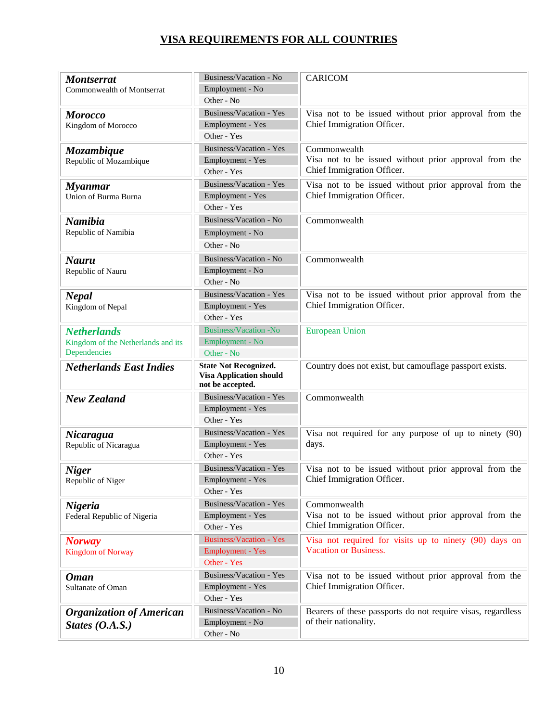| <b>Montserrat</b><br>Commonwealth of Montserrat | Business/Vacation - No<br>Employment - No                      | <b>CARICOM</b>                                              |
|-------------------------------------------------|----------------------------------------------------------------|-------------------------------------------------------------|
|                                                 | Other - No                                                     |                                                             |
| <b>Morocco</b>                                  | Business/Vacation - Yes                                        | Visa not to be issued without prior approval from the       |
| Kingdom of Morocco                              | Employment - Yes                                               | Chief Immigration Officer.                                  |
|                                                 | Other - Yes                                                    |                                                             |
| Mozambique                                      | Business/Vacation - Yes                                        | Commonwealth                                                |
| Republic of Mozambique                          | Employment - Yes                                               | Visa not to be issued without prior approval from the       |
|                                                 | Other - Yes                                                    | Chief Immigration Officer.                                  |
| <b>Myanmar</b>                                  | Business/Vacation - Yes                                        | Visa not to be issued without prior approval from the       |
| Union of Burma Burna                            | Employment - Yes                                               | Chief Immigration Officer.                                  |
|                                                 | Other - Yes                                                    |                                                             |
| <b>Namibia</b>                                  | Business/Vacation - No                                         | Commonwealth                                                |
| Republic of Namibia                             | Employment - No                                                |                                                             |
|                                                 | Other - No                                                     |                                                             |
| <b>Nauru</b>                                    | Business/Vacation - No                                         | Commonwealth                                                |
| Republic of Nauru                               | Employment - No                                                |                                                             |
|                                                 | Other - No                                                     |                                                             |
| <b>Nepal</b>                                    | Business/Vacation - Yes                                        | Visa not to be issued without prior approval from the       |
| Kingdom of Nepal                                | Employment - Yes                                               | Chief Immigration Officer.                                  |
|                                                 | Other - Yes                                                    |                                                             |
| <b>Netherlands</b>                              | <b>Business/Vacation -No</b>                                   | <b>European Union</b>                                       |
| Kingdom of the Netherlands and its              | Employment - No                                                |                                                             |
| Dependencies                                    | Other - No                                                     |                                                             |
|                                                 |                                                                |                                                             |
| <b>Netherlands East Indies</b>                  | <b>State Not Recognized.</b><br><b>Visa Application should</b> | Country does not exist, but camouflage passport exists.     |
|                                                 | not be accepted.<br>Business/Vacation - Yes                    | Commonwealth                                                |
| <b>New Zealand</b>                              | Employment - Yes                                               |                                                             |
|                                                 | Other - Yes                                                    |                                                             |
|                                                 | Business/Vacation - Yes                                        | Visa not required for any purpose of up to ninety (90)      |
| Nicaragua<br>Republic of Nicaragua              | Employment - Yes                                               | days.                                                       |
|                                                 | Other - Yes                                                    |                                                             |
|                                                 | Business/Vacation - Yes                                        | Visa not to be issued without prior approval from the       |
| <b>Niger</b><br>Republic of Niger               | Employment - Yes                                               | Chief Immigration Officer.                                  |
|                                                 | Other - Yes                                                    |                                                             |
| <b>Nigeria</b>                                  | Business/Vacation - Yes                                        | Commonwealth                                                |
| Federal Republic of Nigeria                     | Employment - Yes                                               | Visa not to be issued without prior approval from the       |
|                                                 | Other - Yes                                                    | Chief Immigration Officer.                                  |
| <b>Norway</b>                                   | <b>Business/Vacation - Yes</b>                                 | Visa not required for visits up to ninety (90) days on      |
| <b>Kingdom of Norway</b>                        | <b>Employment - Yes</b>                                        | <b>Vacation or Business.</b>                                |
|                                                 | Other - Yes                                                    |                                                             |
| <b>Oman</b>                                     | Business/Vacation - Yes                                        | Visa not to be issued without prior approval from the       |
| Sultanate of Oman                               | Employment - Yes                                               | Chief Immigration Officer.                                  |
|                                                 | Other - Yes                                                    |                                                             |
| <b>Organization of American</b>                 | Business/Vacation - No                                         | Bearers of these passports do not require visas, regardless |
| States $(0.A.S.)$                               | Employment - No<br>Other - No                                  | of their nationality.                                       |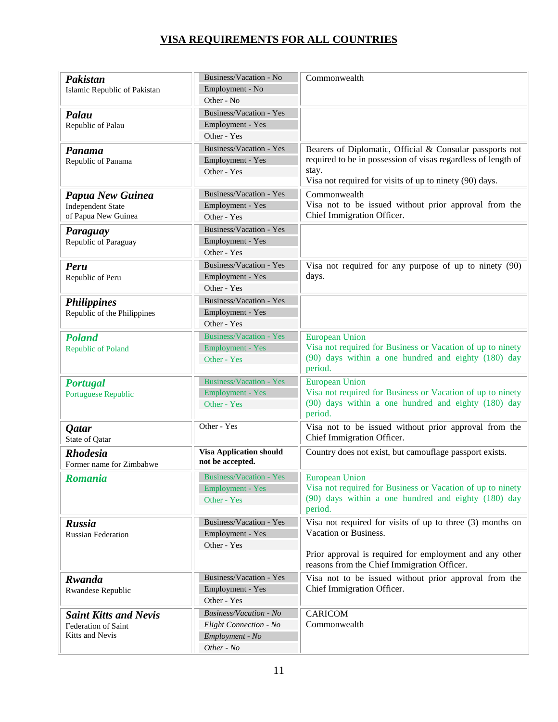| Pakistan                                   | Business/Vacation - No                             | Commonwealth                                                                       |
|--------------------------------------------|----------------------------------------------------|------------------------------------------------------------------------------------|
| Islamic Republic of Pakistan               | Employment - No                                    |                                                                                    |
|                                            | Other - No                                         |                                                                                    |
| Palau                                      | Business/Vacation - Yes                            |                                                                                    |
| Republic of Palau                          | Employment - Yes                                   |                                                                                    |
|                                            | Other - Yes                                        |                                                                                    |
| Panama                                     | Business/Vacation - Yes                            | Bearers of Diplomatic, Official & Consular passports not                           |
| Republic of Panama                         | Employment - Yes                                   | required to be in possession of visas regardless of length of                      |
|                                            | Other - Yes                                        | stay.                                                                              |
|                                            |                                                    | Visa not required for visits of up to ninety (90) days.                            |
| Papua New Guinea                           | Business/Vacation - Yes                            | Commonwealth                                                                       |
| <b>Independent State</b>                   | Employment - Yes                                   | Visa not to be issued without prior approval from the                              |
| of Papua New Guinea                        | Other - Yes                                        | Chief Immigration Officer.                                                         |
| Paraguay                                   | Business/Vacation - Yes                            |                                                                                    |
| Republic of Paraguay                       | Employment - Yes                                   |                                                                                    |
|                                            | Other - Yes                                        |                                                                                    |
| Peru                                       | Business/Vacation - Yes                            | Visa not required for any purpose of up to ninety (90)                             |
| Republic of Peru                           | Employment - Yes                                   | days.                                                                              |
|                                            | Other - Yes                                        |                                                                                    |
| <b>Philippines</b>                         | Business/Vacation - Yes                            |                                                                                    |
| Republic of the Philippines                | Employment - Yes                                   |                                                                                    |
|                                            | Other - Yes                                        |                                                                                    |
| <b>Poland</b>                              | <b>Business/Vacation - Yes</b>                     | <b>European Union</b>                                                              |
| <b>Republic of Poland</b>                  | <b>Employment - Yes</b>                            | Visa not required for Business or Vacation of up to ninety                         |
|                                            | Other - Yes                                        | (90) days within a one hundred and eighty (180) day                                |
|                                            |                                                    | period.                                                                            |
| <b>Portugal</b>                            | <b>Business/Vacation - Yes</b>                     | <b>European Union</b>                                                              |
| Portuguese Republic                        | <b>Employment - Yes</b>                            | Visa not required for Business or Vacation of up to ninety                         |
|                                            | Other - Yes                                        | (90) days within a one hundred and eighty (180) day<br>period.                     |
|                                            | Other - Yes                                        | Visa not to be issued without prior approval from the                              |
| <b>Qatar</b><br>State of Qatar             |                                                    | Chief Immigration Officer.                                                         |
|                                            |                                                    |                                                                                    |
| <b>Rhodesia</b>                            | <b>Visa Application should</b><br>not be accepted. | Country does not exist, but camouflage passport exists.                            |
| Former name for Zimbabwe                   |                                                    |                                                                                    |
| <b>Romania</b>                             | <b>Business/Vacation - Yes</b>                     | European Union                                                                     |
|                                            | <b>Employment - Yes</b>                            | Visa not required for Business or Vacation of up to ninety                         |
|                                            | Other - Yes                                        | (90) days within a one hundred and eighty (180) day<br>period.                     |
|                                            | Business/Vacation - Yes                            |                                                                                    |
| <b>Russia</b><br><b>Russian Federation</b> | Employment - Yes                                   | Visa not required for visits of up to three (3) months on<br>Vacation or Business. |
|                                            | Other - Yes                                        |                                                                                    |
|                                            |                                                    | Prior approval is required for employment and any other                            |
|                                            |                                                    | reasons from the Chief Immigration Officer.                                        |
| Rwanda                                     | Business/Vacation - Yes                            | Visa not to be issued without prior approval from the                              |
| Rwandese Republic                          | Employment - Yes                                   | Chief Immigration Officer.                                                         |
|                                            | Other - Yes                                        |                                                                                    |
| <b>Saint Kitts and Nevis</b>               | <b>Business/Vacation - No</b>                      | CARICOM                                                                            |
| Federation of Saint<br>Kitts and Nevis     | Flight Connection - No                             | Commonwealth                                                                       |
|                                            | Employment - No                                    |                                                                                    |
|                                            | Other - No                                         |                                                                                    |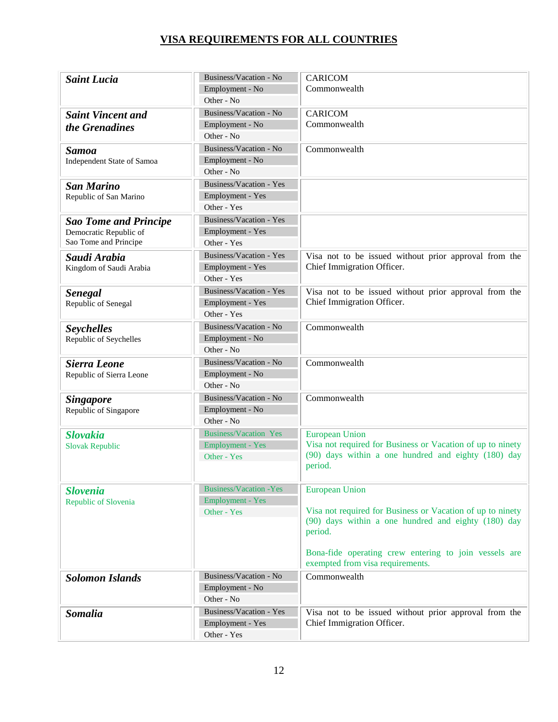| <b>Saint Lucia</b>           | Business/Vacation - No         | <b>CARICOM</b>                                             |
|------------------------------|--------------------------------|------------------------------------------------------------|
|                              | Employment - No                | Commonwealth                                               |
|                              | Other - No                     |                                                            |
| <b>Saint Vincent and</b>     | Business/Vacation - No         | <b>CARICOM</b>                                             |
| the Grenadines               | Employment - No                | Commonwealth                                               |
|                              | Other - No                     |                                                            |
| <b>Samoa</b>                 | Business/Vacation - No         | Commonwealth                                               |
| Independent State of Samoa   | Employment - No                |                                                            |
|                              | Other - No                     |                                                            |
| <b>San Marino</b>            | Business/Vacation - Yes        |                                                            |
| Republic of San Marino       | Employment - Yes               |                                                            |
|                              | Other - Yes                    |                                                            |
| <b>Sao Tome and Principe</b> | Business/Vacation - Yes        |                                                            |
| Democratic Republic of       | Employment - Yes               |                                                            |
| Sao Tome and Principe        | Other - Yes                    |                                                            |
| Saudi Arabia                 | Business/Vacation - Yes        | Visa not to be issued without prior approval from the      |
| Kingdom of Saudi Arabia      | Employment - Yes               | Chief Immigration Officer.                                 |
|                              | Other - Yes                    |                                                            |
| <b>Senegal</b>               | Business/Vacation - Yes        | Visa not to be issued without prior approval from the      |
| Republic of Senegal          | Employment - Yes               | Chief Immigration Officer.                                 |
|                              | Other - Yes                    |                                                            |
| <b>Seychelles</b>            | Business/Vacation - No         | Commonwealth                                               |
| Republic of Seychelles       | Employment - No                |                                                            |
|                              | Other - No                     |                                                            |
| Sierra Leone                 | Business/Vacation - No         | Commonwealth                                               |
| Republic of Sierra Leone     | Employment - No                |                                                            |
|                              | Other - No                     |                                                            |
| <b>Singapore</b>             | Business/Vacation - No         | Commonwealth                                               |
| Republic of Singapore        | Employment - No                |                                                            |
|                              | Other - No                     |                                                            |
| <b>Slovakia</b>              | <b>Business/Vacation Yes</b>   | <b>European Union</b>                                      |
| <b>Slovak Republic</b>       | <b>Employment - Yes</b>        | Visa not required for Business or Vacation of up to ninety |
|                              | Other - Yes                    | (90) days within a one hundred and eighty (180) day        |
|                              |                                | period.                                                    |
|                              | <b>Business/Vacation - Yes</b> |                                                            |
| <b>Slovenia</b>              | <b>Employment - Yes</b>        | <b>European Union</b>                                      |
| Republic of Slovenia         | Other - Yes                    | Visa not required for Business or Vacation of up to ninety |
|                              |                                | (90) days within a one hundred and eighty (180) day        |
|                              |                                | period.                                                    |
|                              |                                |                                                            |
|                              |                                | Bona-fide operating crew entering to join vessels are      |
|                              |                                | exempted from visa requirements.                           |
| <b>Solomon Islands</b>       | Business/Vacation - No         | Commonwealth                                               |
|                              | Employment - No                |                                                            |
|                              | Other - No                     |                                                            |
| <b>Somalia</b>               | Business/Vacation - Yes        | Visa not to be issued without prior approval from the      |
|                              | Employment - Yes               | Chief Immigration Officer.                                 |
|                              | Other - Yes                    |                                                            |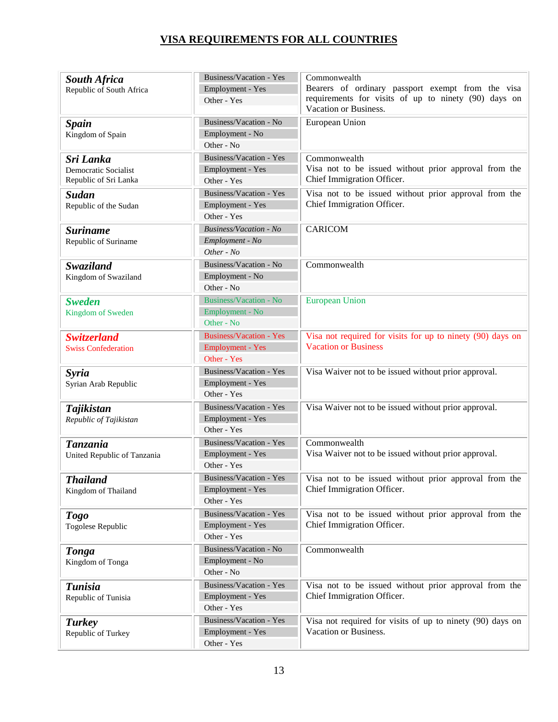| <b>South Africa</b><br>Republic of South Africa            | Business/Vacation - Yes<br>Employment - Yes<br>Other - Yes               | Commonwealth<br>Bearers of ordinary passport exempt from the visa<br>requirements for visits of up to ninety (90) days on<br>Vacation or Business. |
|------------------------------------------------------------|--------------------------------------------------------------------------|----------------------------------------------------------------------------------------------------------------------------------------------------|
| <b>Spain</b><br>Kingdom of Spain                           | Business/Vacation - No<br>Employment - No<br>Other - No                  | European Union                                                                                                                                     |
| Sri Lanka<br>Democratic Socialist<br>Republic of Sri Lanka | Business/Vacation - Yes<br>Employment - Yes<br>Other - Yes               | Commonwealth<br>Visa not to be issued without prior approval from the<br>Chief Immigration Officer.                                                |
| <b>Sudan</b><br>Republic of the Sudan                      | Business/Vacation - Yes<br>Employment - Yes<br>Other - Yes               | Visa not to be issued without prior approval from the<br>Chief Immigration Officer.                                                                |
| <b>Suriname</b><br>Republic of Suriname                    | <b>Business/Vacation - No</b><br>Employment - No<br>Other - No           | <b>CARICOM</b>                                                                                                                                     |
| <b>Swaziland</b><br>Kingdom of Swaziland                   | Business/Vacation - No<br>Employment - No<br>Other - No                  | Commonwealth                                                                                                                                       |
| <b>Sweden</b><br>Kingdom of Sweden                         | <b>Business/Vacation - No</b><br>Employment - No<br>Other - No           | <b>European Union</b>                                                                                                                              |
| <b>Switzerland</b><br><b>Swiss Confederation</b>           | <b>Business/Vacation - Yes</b><br><b>Employment - Yes</b><br>Other - Yes | Visa not required for visits for up to ninety (90) days on<br><b>Vacation or Business</b>                                                          |
| <b>Syria</b><br>Syrian Arab Republic                       | Business/Vacation - Yes<br>Employment - Yes<br>Other - Yes               | Visa Waiver not to be issued without prior approval.                                                                                               |
| <b>Tajikistan</b><br>Republic of Tajikistan                | Business/Vacation - Yes<br>Employment - Yes<br>Other - Yes               | Visa Waiver not to be issued without prior approval.                                                                                               |
| <b>Tanzania</b><br>United Republic of Tanzania             | Business/Vacation - Yes<br>Employment - Yes<br>Other - Yes               | Commonwealth<br>Visa Waiver not to be issued without prior approval.                                                                               |
| <b>Thailand</b><br>Kingdom of Thailand                     | Employment - Yes<br>Other - Yes                                          | Business/Vacation - Yes Visa not to be issued without prior approval from the<br>Chief Immigration Officer.                                        |
| <b>Togo</b><br>Togolese Republic                           | Business/Vacation - Yes<br>Employment - Yes<br>Other - Yes               | Visa not to be issued without prior approval from the<br>Chief Immigration Officer.                                                                |
| <b>Tonga</b><br>Kingdom of Tonga                           | Business/Vacation - No<br>Employment - No<br>Other - No                  | Commonwealth                                                                                                                                       |
| <b>Tunisia</b><br>Republic of Tunisia                      | Business/Vacation - Yes<br>Employment - Yes<br>Other - Yes               | Visa not to be issued without prior approval from the<br>Chief Immigration Officer.                                                                |
| <b>Turkey</b><br>Republic of Turkey                        | Business/Vacation - Yes<br>Employment - Yes<br>Other - Yes               | Visa not required for visits of up to ninety (90) days on<br>Vacation or Business.                                                                 |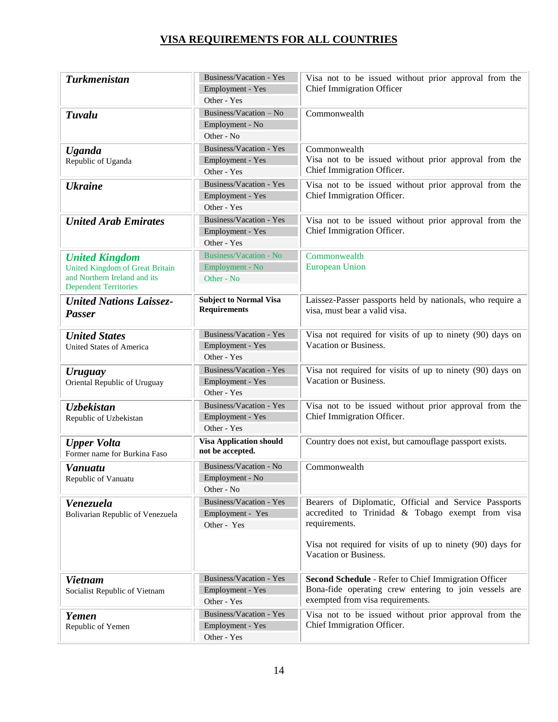| <b>Turkmenistan</b>                                                                                                             | Business/Vacation - Yes<br>Employment - Yes<br>Other - Yes | Visa not to be issued without prior approval from the<br><b>Chief Immigration Officer</b>                                                                                                                         |
|---------------------------------------------------------------------------------------------------------------------------------|------------------------------------------------------------|-------------------------------------------------------------------------------------------------------------------------------------------------------------------------------------------------------------------|
| Tuvalu                                                                                                                          | Business/Vacation - No<br>Employment - No<br>Other - No    | Commonwealth                                                                                                                                                                                                      |
| <b>Uganda</b><br>Republic of Uganda                                                                                             | Business/Vacation - Yes<br>Employment - Yes<br>Other - Yes | Commonwealth<br>Visa not to be issued without prior approval from the<br>Chief Immigration Officer.                                                                                                               |
| <b>Ukraine</b>                                                                                                                  | Business/Vacation - Yes<br>Employment - Yes<br>Other - Yes | Visa not to be issued without prior approval from the<br>Chief Immigration Officer.                                                                                                                               |
| <b>United Arab Emirates</b>                                                                                                     | Business/Vacation - Yes<br>Employment - Yes<br>Other - Yes | Visa not to be issued without prior approval from the<br>Chief Immigration Officer.                                                                                                                               |
| <b>United Kingdom</b><br><b>United Kingdom of Great Britain</b><br>and Northern Ireland and its<br><b>Dependent Territories</b> | Business/Vacation - No<br>Employment - No<br>Other - No    | Commonwealth<br><b>European Union</b>                                                                                                                                                                             |
| <b>United Nations Laissez-</b><br><b>Passer</b>                                                                                 | <b>Subject to Normal Visa</b><br><b>Requirements</b>       | Laissez-Passer passports held by nationals, who require a<br>visa, must bear a valid visa.                                                                                                                        |
| <b>United States</b><br>United States of America                                                                                | Business/Vacation - Yes<br>Employment - Yes<br>Other - Yes | Visa not required for visits of up to ninety (90) days on<br>Vacation or Business.                                                                                                                                |
| <b>Uruguay</b><br>Oriental Republic of Uruguay                                                                                  | Business/Vacation - Yes<br>Employment - Yes<br>Other - Yes | Visa not required for visits of up to ninety (90) days on<br>Vacation or Business.                                                                                                                                |
| <b>Uzbekistan</b><br>Republic of Uzbekistan                                                                                     | Business/Vacation - Yes<br>Employment - Yes<br>Other - Yes | Visa not to be issued without prior approval from the<br>Chief Immigration Officer.                                                                                                                               |
| <b>Upper Volta</b><br>Former name for Burkina Faso                                                                              | <b>Visa Application should</b><br>not be accepted.         | Country does not exist, but camouflage passport exists.                                                                                                                                                           |
| Vanuatu<br>Republic of Vanuatu                                                                                                  | Business/Vacation - No<br>Employment - No<br>Other - No    | Commonwealth                                                                                                                                                                                                      |
| Venezuela<br>Bolivarian Republic of Venezuela                                                                                   | Business/Vacation - Yes<br>Employment - Yes<br>Other - Yes | Bearers of Diplomatic, Official and Service Passports<br>accredited to Trinidad & Tobago exempt from visa<br>requirements.<br>Visa not required for visits of up to ninety (90) days for<br>Vacation or Business. |
| <b>Vietnam</b><br>Socialist Republic of Vietnam                                                                                 | Business/Vacation - Yes<br>Employment - Yes<br>Other - Yes | Second Schedule - Refer to Chief Immigration Officer<br>Bona-fide operating crew entering to join vessels are<br>exempted from visa requirements.                                                                 |
| Yemen<br>Republic of Yemen                                                                                                      | Business/Vacation - Yes<br>Employment - Yes<br>Other - Yes | Visa not to be issued without prior approval from the<br>Chief Immigration Officer.                                                                                                                               |